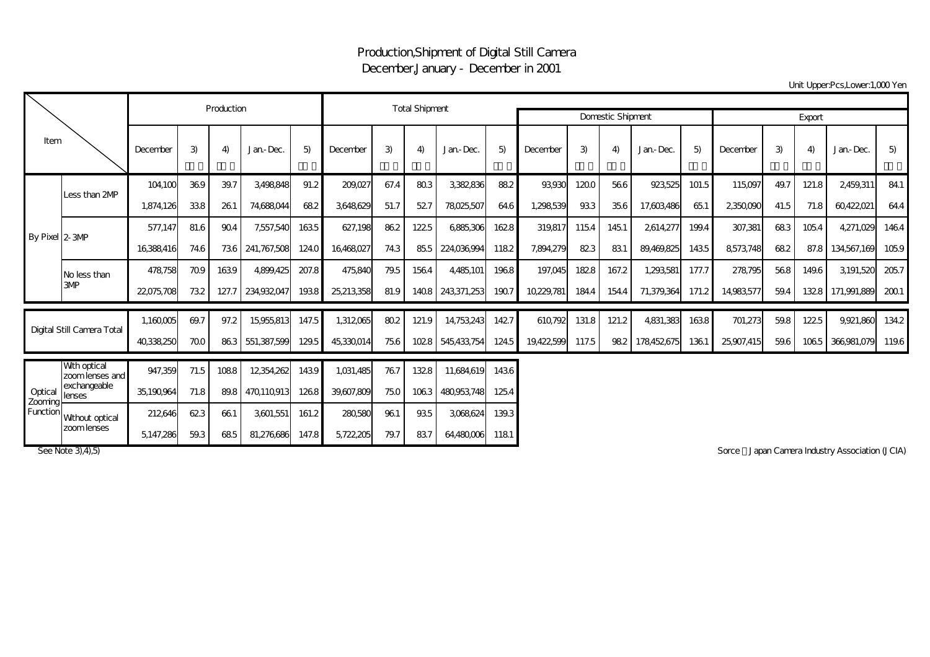## Production,Shipment of Digital Still Camera December,January - December in 2001

Unit Upper:Pcs,Lower:1,000 Yen

| Item                           |                                   |            | Production | <b>Total Shipment</b> |             |       |            |      |       |                          |        |            |       |       |            |       |            |      |       |                  |       |
|--------------------------------|-----------------------------------|------------|------------|-----------------------|-------------|-------|------------|------|-------|--------------------------|--------|------------|-------|-------|------------|-------|------------|------|-------|------------------|-------|
|                                |                                   |            |            |                       |             |       |            |      |       | <b>Domestic Shipment</b> | Export |            |       |       |            |       |            |      |       |                  |       |
|                                |                                   | December   | 3)         | 4                     | Jan-Dec.    | 5)    | December   | 3)   | 4)    | Jan-Dec.                 | 5)     | December   | 3)    | 4)    | Jan-Dec.   | 5)    | December   | 3)   | 4)    | Jan-Dec.         | 5)    |
| By Pixel 2-3MP                 | Less than 2MP                     | 104100     | 369        | 39.7                  | 3,498,848   | 91.2  | 209,027    | 67.4 | 803   | 3,382,836                | 882    | 93.930     | 1200  | 566   | 923,525    | 101.5 | 115,097    | 49.7 | 121.8 | 2,459,311        | 84.1  |
|                                |                                   | 1,874,126  | 338        | 261                   | 74,688,044  | 682   | 3,648,629  | 51.7 | 527   | 78025,507                | 64.6   | 1,298,539  | 933   | 35.6  | 17,603,486 | 651   | 2350,090   | 41.5 | 71.8  | 60422021         | 64.4  |
|                                |                                   | 577,147    | 81.6       | 904                   | 7,557,540   | 1635  | 627,198    | 862  | 1225  | 6885,306                 | 1628   | 319,817    | 1154  | 1451  | 2614,277   | 199.4 | 307,381    | 683  | 1054  | 4,271,029        | 1464  |
|                                |                                   | 16388416   | 74.6       | 736                   | 241,767,508 | 124.0 | 16,468,027 | 74.3 |       | 855 224,036,994          | 1182   | 7,894,279  | 823   | 831   | 89,469,825 | 1435  | 8573,748   | 682  |       | 87.8 134,567,169 | 1059  |
|                                | No less than                      | 478758     | 709        | 1639                  | 4.899.425   | 207.8 | 475,840    | 79.5 | 1564  | 4,485,101                | 1968   | 197,045    | 1828  | 167.2 | 1,293,581  | 177.7 | 278,795    | 568  | 149.6 | 3,191,520        | 2057  |
|                                | 3MP                               | 22075,708  | 732        | 127.7                 | 234,932,047 | 1938  | 25,213,358 | 81.9 |       | 1408 243,371,253         | 1907   | 10,229,781 | 184.4 | 154.4 | 71,379,364 | 171.2 | 14,983,577 | 59.4 |       | 1328 171,991.889 | 2001  |
| Digital Still Camera Total     |                                   | 1,160,005  | 69.7       | 97.2                  | 15,955,813  | 147.5 | 1,312,065  | 80.2 | 121.9 | 14,753,243               | 1427   | 610,792    | 131.8 | 121.2 | 4,831,383  | 1638  | 701,273    | 59.8 | 1225  | 9,921,860        | 134.2 |
|                                |                                   | 40338250   | 700        | 863                   | 551,387,599 | 129.5 | 45,330,014 | 756  | 1028  | 545,433,754              | 124.5  | 19,422,599 | 117.5 | 982   | 178452675  | 1361  | 25,907,415 | 59.6 | 1065  | 366,981,079      | 119.6 |
| Optical<br>Zooming<br>Function | With optical<br>zoom lenses and l | 947,359    | 71.5       | 1088                  | 12354,262   | 1439  | 1,031,485  | 767  | 1328  | 11,684,619               | 1436   |            |       |       |            |       |            |      |       |                  |       |
|                                | exchangeable<br>lenses            | 35,190,964 | 71.8       | 89.8                  | 470110913   | 1268  | 39,607,809 | 75.0 | 1063  | 480.953.748              | 1254   |            |       |       |            |       |            |      |       |                  |       |
|                                | Without optical<br>zoom lenses    | 212646     | 623        | 661                   | 3,601,551   | 161.2 | 280,580    | 961  | 935   | 3,068,624                | 139.3  |            |       |       |            |       |            |      |       |                  |       |
|                                |                                   | 5147.286   | 59.3       | 685                   | 81.276.686  | 147.8 | 5,722,205  | 79.7 | 837   | 64,480,006               | 1181   |            |       |       |            |       |            |      |       |                  |       |

See Note 3), 4), 5) Sorce Japan Camera Industry Association (JCIA)